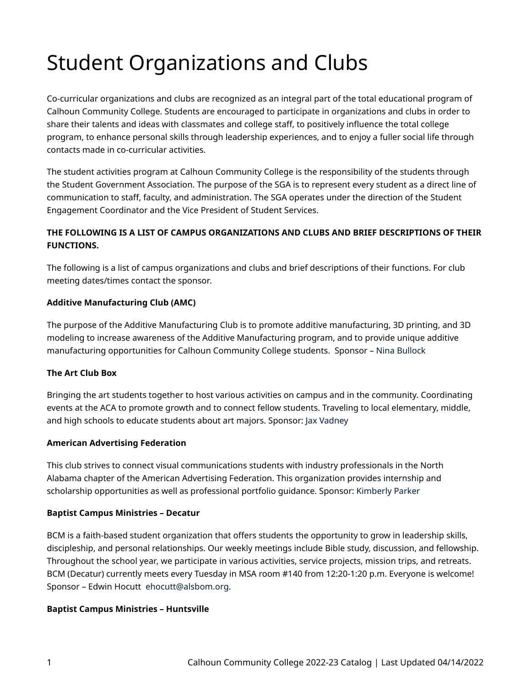# Student Organizations and Clubs

Co-curricular organizations and clubs are recognized as an integral part of the total educational program of Calhoun Community College. Students are encouraged to participate in organizations and clubs in order to share their talents and ideas with classmates and college staff, to positively influence the total college program, to enhance personal skills through leadership experiences, and to enjoy a fuller social life through contacts made in co-curricular activities.

The student activities program at Calhoun Community College is the responsibility of the students through the Student Government Association. The purpose of the SGA is to represent every student as a direct line of communication to staff, faculty, and administration. The SGA operates under the direction of the Student Engagement Coordinator and the Vice President of Student Services.

## **THE FOLLOWING IS A LIST OF CAMPUS ORGANIZATIONS AND CLUBS AND BRIEF DESCRIPTIONS OF THEIR FUNCTIONS.**

The following is a list of campus organizations and clubs and brief descriptions of their functions. For club meeting dates/times contact the sponsor.

## **Additive Manufacturing Club (AMC)**

The purpose of the Additive Manufacturing Club is to promote additive manufacturing, 3D printing, and 3D modeling to increase awareness of the Additive Manufacturing program, and to provide unique additive manufacturing opportunities for Calhoun Community College students. Sponsor – [Nina Bullock](https://calhoun.edu/directory/nina-bullock/) 

## **The Art Club Box**

Bringing the art students together to host various activities on campus and in the community. Coordinating events at the ACA to promote growth and to connect fellow students. Traveling to local elementary, middle, and high schools to educate students about art majors. Sponsor: [Jax Vadney](https://calhoun.edu/student-activities-clubs/student-clubs-organizations/jacki.vadney@calhoun.edu) 

## **American Advertising Federation**

This club strives to connect visual communications students with industry professionals in the North Alabama chapter of the American Advertising Federation. This organization provides internship and scholarship opportunities as well as professional portfolio guidance. Sponsor: [Kimberly Parker](https://calhoun.edu/directory/kim-parker/) 

#### **Baptist Campus Ministries – Decatur**

BCM is a faith-based student organization that offers students the opportunity to grow in leadership skills, discipleship, and personal relationships. Our weekly meetings include Bible study, discussion, and fellowship. Throughout the school year, we participate in various activities, service projects, mission trips, and retreats. BCM (Decatur) currently meets every Tuesday in MSA room #140 from 12:20-1:20 p.m. Everyone is welcome! Sponsor – Edwin Hocutt [ehocutt@alsbom.org.](mailto:ehocutt@alsbom.org)

#### **Baptist Campus Ministries – Huntsville**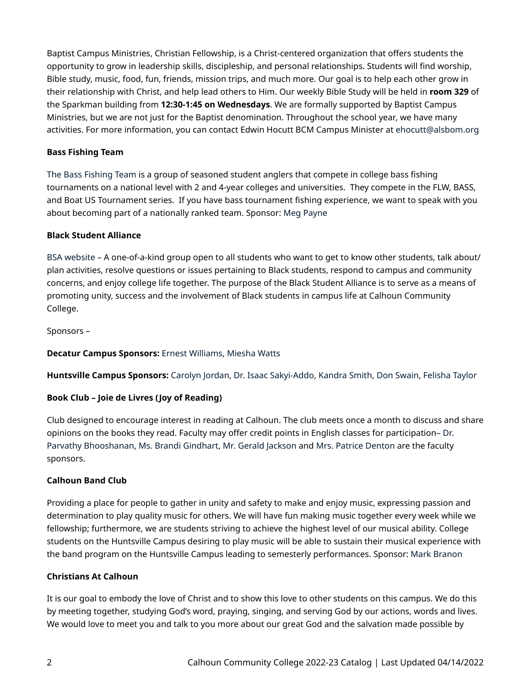Baptist Campus Ministries, Christian Fellowship, is a Christ-centered organization that offers students the opportunity to grow in leadership skills, discipleship, and personal relationships. Students will find worship, Bible study, music, food, fun, friends, mission trips, and much more. Our goal is to help each other grow in their relationship with Christ, and help lead others to Him. Our weekly Bible Study will be held in **room 329** of the Sparkman building from **12:30-1:45 on Wednesdays**. We are formally supported by Baptist Campus Ministries, but we are not just for the Baptist denomination. Throughout the school year, we have many activities. For more information, you can contact Edwin Hocutt BCM Campus Minister at [ehocutt@alsbom.org](mailto:ehocutt@alsbom.org) 

## **Bass Fishing Team**

[The Bass Fishing Team](https://calhoun.edu/student-activities-clubs/bass-fishing-team/) is a group of seasoned student anglers that compete in college bass fishing tournaments on a national level with 2 and 4-year colleges and universities. They compete in the FLW, BASS, and Boat US Tournament series. If you have bass tournament fishing experience, we want to speak with you about becoming part of a nationally ranked team. Sponsor: [Meg Payne](https://calhoun.edu/directory/meg-graham/) 

### **Black Student Alliance**

[BSA website](https://calhoun.edu/student-activities-clubs/student-clubs-organizations/black-students-alliance/) – A one-of-a-kind group open to all students who want to get to know other students, talk about/ plan activities, resolve questions or issues pertaining to Black students, respond to campus and community concerns, and enjoy college life together. The purpose of the Black Student Alliance is to serve as a means of promoting unity, success and the involvement of Black students in campus life at Calhoun Community College.

Sponsors –

## **Decatur Campus Sponsors:** [Ernest Williams,](https://calhoun.edu/directory/ernest-williams/) [Miesha Watts](https://calhoun.edu/directory/miesha-watts/)

**Huntsville Campus Sponsors:** [Carolyn Jordan](https://calhoun.edu/directory/carolyn-jordan/), [Dr. Isaac Sakyi-Addo](https://calhoun.edu/directory/isaac-sakyi-addo-dr/), [Kandra Smith](https://calhoun.edu/directory/kandra-d-smith/), [Don Swain](https://calhoun.edu/directory/don-swain/), [Felisha Taylor](https://calhoun.edu/directory/felisha-taylor/)

## **Book Club – Joie de Livres (Joy of Reading)**

Club designed to encourage interest in reading at Calhoun. The club meets once a month to discuss and share opinions on the books they read. Faculty may offer credit points in English classes for participation– [Dr.](https://calhoun.edu/directory/parvathy-bhooshanan-dr/)  [Parvathy Bhooshanan,](https://calhoun.edu/directory/parvathy-bhooshanan-dr/) [Ms. Brandi Gindhart,](https://calhoun.edu/directory/brandi-gindhart/) [Mr. Gerald Jackson](https://calhoun.edu/directory/gerald-jackson/) and [Mrs. Patrice Denton](https://calhoun.edu/directory/patrice-denton/) are the faculty sponsors.

## **Calhoun Band Club**

Providing a place for people to gather in unity and safety to make and enjoy music, expressing passion and determination to play quality music for others. We will have fun making music together every week while we fellowship; furthermore, we are students striving to achieve the highest level of our musical ability. College students on the Huntsville Campus desiring to play music will be able to sustain their musical experience with the band program on the Huntsville Campus leading to semesterly performances. Sponsor: [Mark Branon](https://calhoun.edu/directory/mark-branon/?bsearch_highlight=mark%20branon)

#### **Christians At Calhoun**

It is our goal to embody the love of Christ and to show this love to other students on this campus. We do this by meeting together, studying God's word, praying, singing, and serving God by our actions, words and lives. We would love to meet you and talk to you more about our great God and the salvation made possible by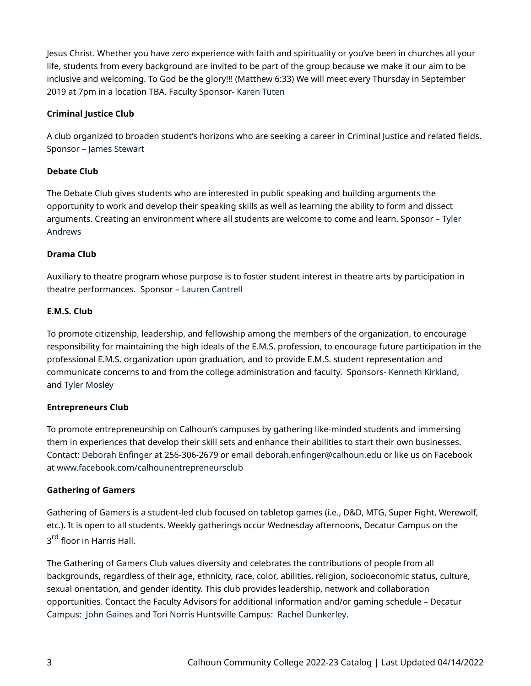Jesus Christ. Whether you have zero experience with faith and spirituality or you've been in churches all your life, students from every background are invited to be part of the group because we make it our aim to be inclusive and welcoming. To God be the glory!!! (Matthew 6:33) We will meet every Thursday in September 2019 at 7pm in a location TBA. Faculty Sponsor- [Karen Tuten](mailto:karen.tuten@calhoun.edu) 

## **Criminal Justice Club**

A club organized to broaden student's horizons who are seeking a career in Criminal Justice and related fields. Sponsor – [James Stewart](https://calhoun.edu/directory/jim-stewart/) 

## **Debate Club**

The Debate Club gives students who are interested in public speaking and building arguments the opportunity to work and develop their speaking skills as well as learning the ability to form and dissect arguments. Creating an environment where all students are welcome to come and learn. Sponsor – [Tyler](https://calhoun.edu/directory/tyler-andrews/) [Andrews](https://calhoun.edu/directory/tyler-andrews/) 

## **Drama Club**

Auxiliary to theatre program whose purpose is to foster student interest in theatre arts by participation in theatre performances. Sponsor – [Lauren Cantrell](https://calhoun.edu/directory/lauren-cantrell-salerno/) 

## **E.M.S. Club**

To promote citizenship, leadership, and fellowship among the members of the organization, to encourage responsibility for maintaining the high ideals of the E.M.S. profession, to encourage future participation in the professional E.M.S. organization upon graduation, and to provide E.M.S. student representation and communicate concerns to and from the college administration and faculty. Sponsors- [Kenneth Kirkland](https://calhoun.edu/directory/kenneth-kirkland/), and [Tyler Mosley](https://calhoun.edu/directory/tyler-mosley/)

## **Entrepreneurs Club**

To promote entrepreneurship on Calhoun's campuses by gathering like-minded students and immersing them in experiences that develop their skill sets and enhance their abilities to start their own businesses. Contact: [Deborah Enfinger](https://calhoun.edu/directory/deborah-enfinger/) at 256-306-2679 or email [deborah.enfinger@calhoun.edu](mailto:deborah.enfinger@calhoun.edu) or like us on Facebook at [www.facebook.com/calhounentrepreneursclub](http://www.facebook.com/calhounentrepreneursclub)

## **Gathering of Gamers**

Gathering of Gamers is a student-led club focused on tabletop games (i.e., D&D, MTG, Super Fight, Werewolf, etc.). It is open to all students. Weekly gatherings occur Wednesday afternoons, Decatur Campus on the 3<sup>rd</sup> floor in Harris Hall.

The Gathering of Gamers Club values diversity and celebrates the contributions of people from all backgrounds, regardless of their age, ethnicity, race, color, abilities, religion, socioeconomic status, culture, sexual orientation, and gender identity. This club provides leadership, network and collaboration opportunities. Contact the Faculty Advisors for additional information and/or gaming schedule – Decatur Campus: [John Gaines](https://calhoun.edu/directory/john-gaines/) and [Tori Norris](https://calhoun.edu/directory/tori-norris/) Huntsville Campus: [Rachel Dunkerley.](https://calhoun.edu/directory/rachel-dunkerley/)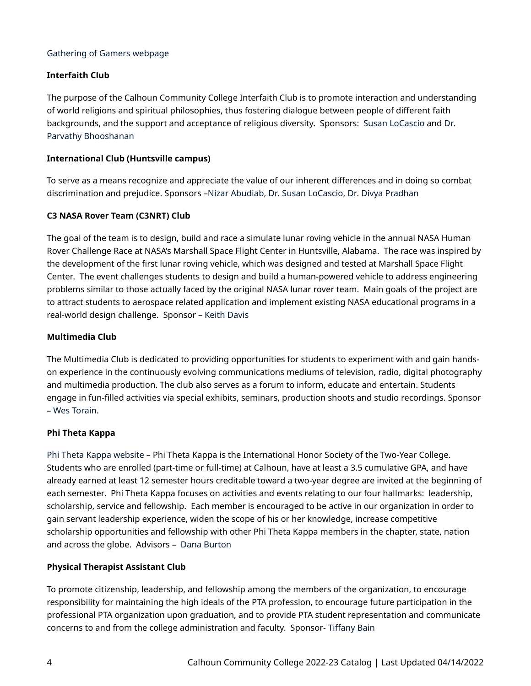#### [Gathering of Gamers webpage](https://calhoun.edu/student-activities-clubs/student-clubs-organizations/gathering-of-gamers/)

## **Interfaith Club**

The purpose of the Calhoun Community College Interfaith Club is to promote interaction and understanding of world religions and spiritual philosophies, thus fostering dialogue between people of different faith backgrounds, and the support and acceptance of religious diversity. Sponsors: [Susan LoCascio](https://calhoun.edu/directory/susan-locascio-dr/) and [Dr.](https://calhoun.edu/directory/parvathy-bhooshanan-dr/) [Parvathy Bhooshanan](https://calhoun.edu/directory/parvathy-bhooshanan-dr/) 

#### **International Club (Huntsville campus)**

To serve as a means recognize and appreciate the value of our inherent differences and in doing so combat discrimination and prejudice. Sponsors –[Nizar Abudiab](https://calhoun.edu/directory/nizar-abudiab/), [Dr. Susan LoCascio,](https://calhoun.edu/directory/susan-locascio-dr/) [Dr. Divya Pradhan](https://calhoun.edu/directory/divya-pradhan-dr/) 

### **C3 NASA Rover Team (C3NRT) Club**

The goal of the team is to design, build and race a simulate lunar roving vehicle in the annual NASA Human Rover Challenge Race at NASA's Marshall Space Flight Center in Huntsville, Alabama. The race was inspired by the development of the first lunar roving vehicle, which was designed and tested at Marshall Space Flight Center. The event challenges students to design and build a human-powered vehicle to address engineering problems similar to those actually faced by the original NASA lunar rover team. Main goals of the project are to attract students to aerospace related application and implement existing NASA educational programs in a real-world design challenge. Sponsor – [Keith Davis](https://calhoun.edu/directory/keith-davis/) 

### **Multimedia Club**

The Multimedia Club is dedicated to providing opportunities for students to experiment with and gain handson experience in the continuously evolving communications mediums of television, radio, digital photography and multimedia production. The club also serves as a forum to inform, educate and entertain. Students engage in fun-filled activities via special exhibits, seminars, production shoots and studio recordings. Sponsor – [Wes Torain](https://calhoun.edu/directory/wes-torain/).

#### **Phi Theta Kappa**

[Phi Theta Kappa website](https://calhoun.edu/student-activities-clubs/student-clubs-organizations/phi-theta-kappa/) – Phi Theta Kappa is the International Honor Society of the Two-Year College. Students who are enrolled (part-time or full-time) at Calhoun, have at least a 3.5 cumulative GPA, and have already earned at least 12 semester hours creditable toward a two-year degree are invited at the beginning of each semester. Phi Theta Kappa focuses on activities and events relating to our four hallmarks: leadership, scholarship, service and fellowship. Each member is encouraged to be active in our organization in order to gain servant leadership experience, widen the scope of his or her knowledge, increase competitive scholarship opportunities and fellowship with other Phi Theta Kappa members in the chapter, state, nation and across the globe. Advisors – [Dana Burton](https://calhoun.edu/directory/dana-burton/) 

## **Physical Therapist Assistant Club**

To promote citizenship, leadership, and fellowship among the members of the organization, to encourage responsibility for maintaining the high ideals of the PTA profession, to encourage future participation in the professional PTA organization upon graduation, and to provide PTA student representation and communicate concerns to and from the college administration and faculty. Sponsor- [Tiffany Bain](https://calhoun.edu/directory/tiffany-bain/)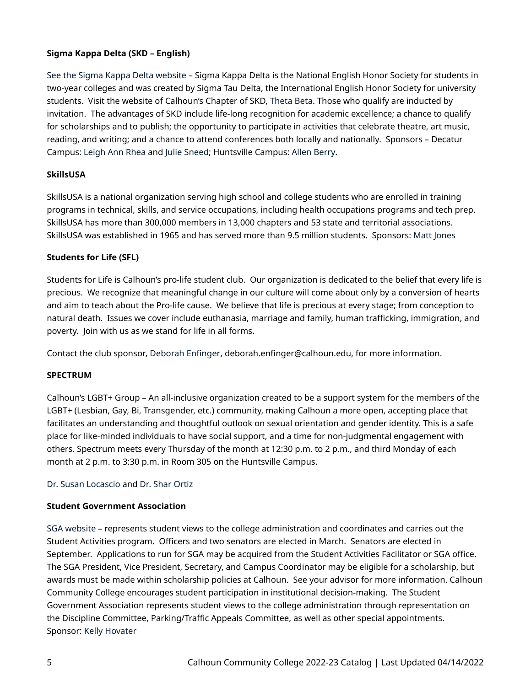## **Sigma Kappa Delta (SKD – English)**

See the [Sigma Kappa Delta](https://calhoun.edu/student-activities-clubs/student-clubs-organizations/sigma-kappa-delta/) website – Sigma Kappa Delta is the National English Honor Society for students in two-year colleges and was created by Sigma Tau Delta, the International English Honor Society for university students. Visit the website of Calhoun's Chapter of SKD, [Theta Beta.](https://calhoun.edu/student-activities-clubs/student-clubs-organizations/sigma-kappa-delta/) Those who qualify are inducted by invitation. The advantages of SKD include life-long recognition for academic excellence; a chance to qualify for scholarships and to publish; the opportunity to participate in activities that celebrate theatre, art music, reading, and writing; and a chance to attend conferences both locally and nationally. Sponsors – Decatur Campus: [Leigh Ann Rhea](https://calhoun.edu/directory/leigh-ann-rhea-dr/) and [Julie Sneed;](https://calhoun.edu/directory/julie-sneed/) Huntsville Campus: [Allen Berry.](https://calhoun.edu/directory/dr-john-allen-berry/)

## **SkillsUSA**

SkillsUSA is a national organization serving high school and college students who are enrolled in training programs in technical, skills, and service occupations, including health occupations programs and tech prep. SkillsUSA has more than 300,000 members in 13,000 chapters and 53 state and territorial associations. SkillsUSA was established in 1965 and has served more than 9.5 million students. Sponsors: [Matt Jones](https://calhoun.edu/directory/matt-jones/)

## **Students for Life (SFL)**

Students for Life is Calhoun's pro-life student club. Our organization is dedicated to the belief that every life is precious. We recognize that meaningful change in our culture will come about only by a conversion of hearts and aim to teach about the Pro-life cause. We believe that life is precious at every stage; from conception to natural death. Issues we cover include euthanasia, marriage and family, human trafficking, immigration, and poverty. Join with us as we stand for life in all forms.

Contact the club sponsor, [Deborah Enfinger](https://calhoun.edu/directory/deborah-enfinger/), deborah.enfinger@calhoun.edu, for more information.

## **SPECTRUM**

Calhoun's LGBT+ Group – An all-inclusive organization created to be a support system for the members of the LGBT+ (Lesbian, Gay, Bi, Transgender, etc.) community, making Calhoun a more open, accepting place that facilitates an understanding and thoughtful outlook on sexual orientation and gender identity. This is a safe place for like-minded individuals to have social support, and a time for non-judgmental engagement with others. Spectrum meets every Thursday of the month at 12:30 p.m. to 2 p.m., and third Monday of each month at 2 p.m. to 3:30 p.m. in Room 305 on the Huntsville Campus.

## [Dr. Susan Locascio](https://calhoun.edu/directory/susan-locascio-dr/) and [Dr. Shar Ortiz](mailto:sharlaine.ortiz@calhoun.edu)

## **Student Government Association**

[SGA website](https://calhoun.edu/student-activities-clubs/student-government-association/) – represents student views to the college administration and coordinates and carries out the Student Activities program. Officers and two senators are elected in March. Senators are elected in September. Applications to run for SGA may be acquired from the Student Activities Facilitator or SGA office. The SGA President, Vice President, Secretary, and Campus Coordinator may be eligible for a scholarship, but awards must be made within scholarship policies at Calhoun. See your advisor for more information. Calhoun Community College encourages student participation in institutional decision-making. The Student Government Association represents student views to the college administration through representation on the Discipline Committee, Parking/Traffic Appeals Committee, as well as other special appointments. Sponsor: [Kelly Hovater](https://calhoun.edu/directory/kelly-hovater/)